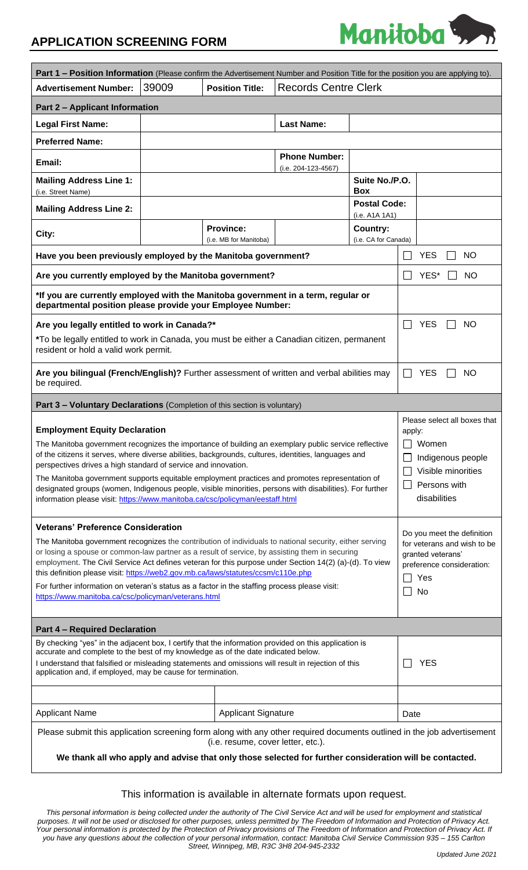## **APPLICATION SCREENING FORM**



| Part 1 - Position Information (Please confirm the Advertisement Number and Position Title for the position you are applying to).                                                                                                                                                                                                                                                                                                                                                                                                                                                                                     |       |                                            |                                             |                                       |                                                                                                                                   |
|----------------------------------------------------------------------------------------------------------------------------------------------------------------------------------------------------------------------------------------------------------------------------------------------------------------------------------------------------------------------------------------------------------------------------------------------------------------------------------------------------------------------------------------------------------------------------------------------------------------------|-------|--------------------------------------------|---------------------------------------------|---------------------------------------|-----------------------------------------------------------------------------------------------------------------------------------|
| <b>Advertisement Number:</b>                                                                                                                                                                                                                                                                                                                                                                                                                                                                                                                                                                                         | 39009 | <b>Position Title:</b>                     | <b>Records Centre Clerk</b>                 |                                       |                                                                                                                                   |
| <b>Part 2 - Applicant Information</b>                                                                                                                                                                                                                                                                                                                                                                                                                                                                                                                                                                                |       |                                            |                                             |                                       |                                                                                                                                   |
| <b>Legal First Name:</b>                                                                                                                                                                                                                                                                                                                                                                                                                                                                                                                                                                                             |       |                                            | <b>Last Name:</b>                           |                                       |                                                                                                                                   |
| <b>Preferred Name:</b>                                                                                                                                                                                                                                                                                                                                                                                                                                                                                                                                                                                               |       |                                            |                                             |                                       |                                                                                                                                   |
| Email:                                                                                                                                                                                                                                                                                                                                                                                                                                                                                                                                                                                                               |       |                                            | <b>Phone Number:</b><br>(i.e. 204-123-4567) |                                       |                                                                                                                                   |
| <b>Mailing Address Line 1:</b><br>(i.e. Street Name)                                                                                                                                                                                                                                                                                                                                                                                                                                                                                                                                                                 |       |                                            |                                             | Suite No./P.O.<br><b>Box</b>          |                                                                                                                                   |
| <b>Mailing Address Line 2:</b>                                                                                                                                                                                                                                                                                                                                                                                                                                                                                                                                                                                       |       |                                            |                                             | <b>Postal Code:</b><br>(i.e. A1A 1A1) |                                                                                                                                   |
| City:                                                                                                                                                                                                                                                                                                                                                                                                                                                                                                                                                                                                                |       | <b>Province:</b><br>(i.e. MB for Manitoba) |                                             | Country:<br>(i.e. CA for Canada)      |                                                                                                                                   |
| Have you been previously employed by the Manitoba government?                                                                                                                                                                                                                                                                                                                                                                                                                                                                                                                                                        |       |                                            |                                             |                                       | <b>YES</b><br><b>NO</b>                                                                                                           |
| Are you currently employed by the Manitoba government?                                                                                                                                                                                                                                                                                                                                                                                                                                                                                                                                                               |       |                                            |                                             |                                       | YES*<br><b>NO</b>                                                                                                                 |
| *If you are currently employed with the Manitoba government in a term, regular or<br>departmental position please provide your Employee Number:                                                                                                                                                                                                                                                                                                                                                                                                                                                                      |       |                                            |                                             |                                       |                                                                                                                                   |
| Are you legally entitled to work in Canada?*                                                                                                                                                                                                                                                                                                                                                                                                                                                                                                                                                                         |       |                                            |                                             |                                       | <b>YES</b><br><b>NO</b><br>$\mathbf{I}$                                                                                           |
| *To be legally entitled to work in Canada, you must be either a Canadian citizen, permanent<br>resident or hold a valid work permit.                                                                                                                                                                                                                                                                                                                                                                                                                                                                                 |       |                                            |                                             |                                       |                                                                                                                                   |
| Are you bilingual (French/English)? Further assessment of written and verbal abilities may<br>be required.                                                                                                                                                                                                                                                                                                                                                                                                                                                                                                           |       |                                            |                                             |                                       | <b>YES</b><br>$\sim 10$<br><b>NO</b>                                                                                              |
| Part 3 - Voluntary Declarations (Completion of this section is voluntary)                                                                                                                                                                                                                                                                                                                                                                                                                                                                                                                                            |       |                                            |                                             |                                       |                                                                                                                                   |
| <b>Employment Equity Declaration</b><br>The Manitoba government recognizes the importance of building an exemplary public service reflective<br>of the citizens it serves, where diverse abilities, backgrounds, cultures, identities, languages and<br>perspectives drives a high standard of service and innovation.<br>The Manitoba government supports equitable employment practices and promotes representation of<br>designated groups (women, Indigenous people, visible minorities, persons with disabilities). For further<br>information please visit: https://www.manitoba.ca/csc/policyman/eestaff.html |       |                                            |                                             |                                       | Please select all boxes that<br>apply:<br>$\Box$ Women<br>Indigenous people<br>Visible minorities<br>Persons with<br>disabilities |
| <b>Veterans' Preference Consideration</b><br>The Manitoba government recognizes the contribution of individuals to national security, either serving<br>or losing a spouse or common-law partner as a result of service, by assisting them in securing<br>employment. The Civil Service Act defines veteran for this purpose under Section 14(2) (a)-(d). To view<br>this definition please visit: https://web2.gov.mb.ca/laws/statutes/ccsm/c110e.php<br>For further information on veteran's status as a factor in the staffing process please visit:<br>https://www.manitoba.ca/csc/policyman/veterans.html       |       |                                            |                                             |                                       | Do you meet the definition<br>for veterans and wish to be<br>granted veterans'<br>preference consideration:<br>Yes<br>No          |
| <b>Part 4 - Required Declaration</b>                                                                                                                                                                                                                                                                                                                                                                                                                                                                                                                                                                                 |       |                                            |                                             |                                       |                                                                                                                                   |
| By checking "yes" in the adjacent box, I certify that the information provided on this application is<br>accurate and complete to the best of my knowledge as of the date indicated below.<br>I understand that falsified or misleading statements and omissions will result in rejection of this<br>application and, if employed, may be cause for termination.                                                                                                                                                                                                                                                     |       |                                            |                                             |                                       | <b>YES</b>                                                                                                                        |
|                                                                                                                                                                                                                                                                                                                                                                                                                                                                                                                                                                                                                      |       |                                            |                                             |                                       |                                                                                                                                   |
| <b>Applicant Name</b>                                                                                                                                                                                                                                                                                                                                                                                                                                                                                                                                                                                                |       | <b>Applicant Signature</b>                 | Date                                        |                                       |                                                                                                                                   |
| Please submit this application screening form along with any other required documents outlined in the job advertisement<br>(i.e. resume, cover letter, etc.).                                                                                                                                                                                                                                                                                                                                                                                                                                                        |       |                                            |                                             |                                       |                                                                                                                                   |
| We thank all who apply and advise that only those selected for further consideration will be contacted.                                                                                                                                                                                                                                                                                                                                                                                                                                                                                                              |       |                                            |                                             |                                       |                                                                                                                                   |

### This information is available in alternate formats upon request.

*This personal information is being collected under the authority of The Civil Service Act and will be used for employment and statistical purposes. It will not be used or disclosed for other purposes, unless permitted by The Freedom of Information and Protection of Privacy Act.*  Your personal information is protected by the Protection of Privacy provisions of The Freedom of Information and Protection of Privacy Act. If *you have any questions about the collection of your personal information, contact: Manitoba Civil Service Commission 935 – 155 Carlton Street, Winnipeg, MB, R3C 3H8 204-945-2332*